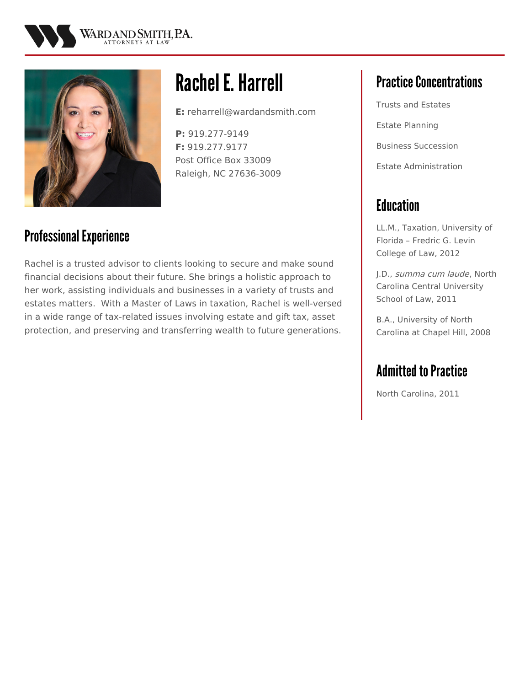



# Rachel E.Harrell

**E:** reharrell@wardandsmith.com

**P:** 919.277-9149 **F:** 919.277.9177 Post Office Box 33009 Raleigh, NC 27636-3009

### Professional Experience

Rachel is a trusted advisor to clients looking to secure and make sound financial decisions about their future. She brings a holistic approach to her work, assisting individuals and businesses in a variety of trusts and estates matters. With a Master of Laws in taxation, Rachel is well-versed in a wide range of tax-related issues involving estate and gift tax, asset protection, and preserving and transferring wealth to future generations.

# **Practice Concentrations**

Trusts and Estates Estate Planning Business Succession Estate Administration

# **Education**

LL.M., Taxation, University of Florida – Fredric G. Levin College of Law, 2012

J.D., summa cum laude, North Carolina Central University School of Law, 2011

B.A., University of North Carolina at Chapel Hill, 2008

## **Admitted to Practice**

North Carolina, 2011